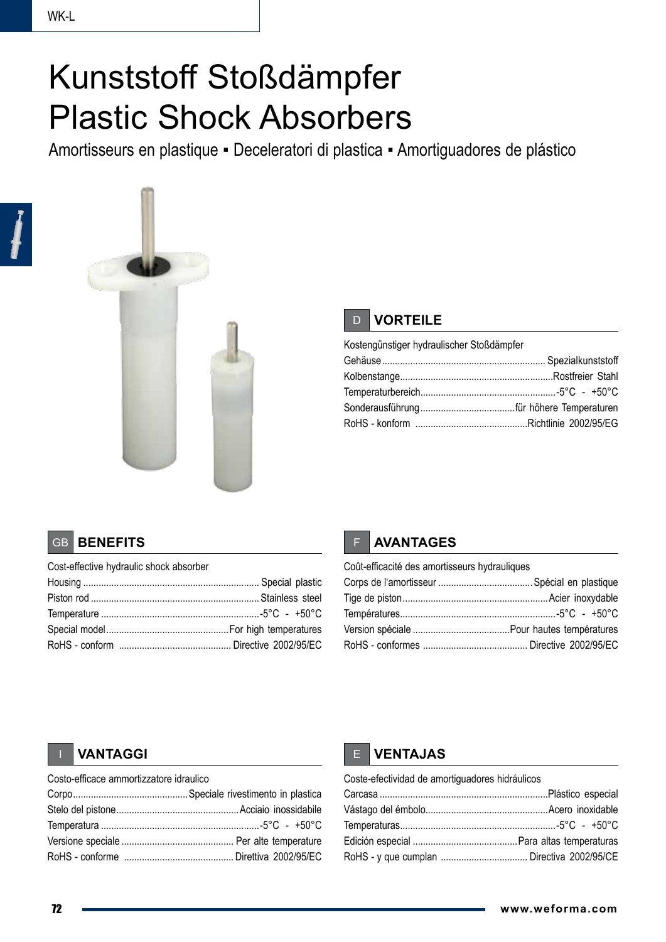## Kunststoff Stoßdämpfer Plastic Shock Absorbers

Amortisseurs en plastique ▪ Deceleratori di plastica ▪ Amortiguadores de plástico



## D **VORTEILE**

| Kostengünstiger hydraulischer Stoßdämpfer |  |
|-------------------------------------------|--|
|                                           |  |
|                                           |  |
|                                           |  |
|                                           |  |
|                                           |  |

### GB **BENEFITS**

| Cost-effective hydraulic shock absorber |  |
|-----------------------------------------|--|
|                                         |  |
|                                         |  |
|                                         |  |
|                                         |  |
|                                         |  |



| Coût-efficacité des amortisseurs hydrauliques |  |
|-----------------------------------------------|--|
|                                               |  |
|                                               |  |
|                                               |  |
|                                               |  |
|                                               |  |

| Costo-efficace ammortizzatore idraulico |  |  |  |  |
|-----------------------------------------|--|--|--|--|
|                                         |  |  |  |  |
|                                         |  |  |  |  |
|                                         |  |  |  |  |
|                                         |  |  |  |  |
|                                         |  |  |  |  |

## **IN EXAMPLE PROPERTY AND RESPONSE ASSESSED ASSESSED ASSESSED ASSESSED ASSESSED AT A LOCAL CONTRACT OF A LOCAL CONTRACT OF A LOCAL CONTRACT OF A LOCAL CONTRACT OF A LOCAL CONTRACT OF A LOCAL CONTRACT OF A LOCAL CONTRACT OF**

| Coste-efectividad de amortiguadores hidráulicos |  |
|-------------------------------------------------|--|
|                                                 |  |
|                                                 |  |
|                                                 |  |
|                                                 |  |
|                                                 |  |